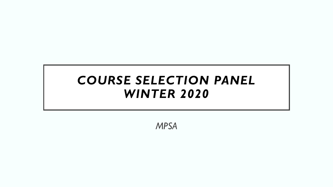#### *COURSE SELECTION PANEL WINTER 2020*

*MPSA*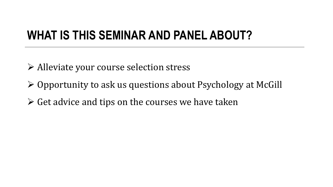### **WHAT IS THIS SEMINAR AND PANEL ABOUT?**

- ➢ Alleviate your course selection stress
- ➢ Opportunity to ask us questions about Psychology at McGill
- $\triangleright$  Get advice and tips on the courses we have taken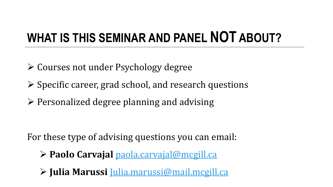# **WHAT IS THIS SEMINAR AND PANEL NOT ABOUT?**

- ➢ Courses not under Psychology degree
- ➢ Specific career, grad school, and research questions
- ➢ Personalized degree planning and advising

For these type of advising questions you can email:

- ➢ **Paolo Carvajal** [paola.carvajal@mcgill.ca](mailto:paola.carvajal@mcgill.ca)
- ➢ **Julia Marussi** [Julia.marussi@mail.mcgill.ca](mailto:Julia.marussi@mail.mcgill.ca)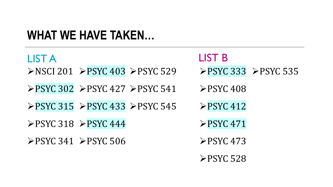### **WHAT WE HAVE TAKEN…**

| <b>LIST A</b>                                       |                                                                               | <b>LIST B</b>             |                                                     |
|-----------------------------------------------------|-------------------------------------------------------------------------------|---------------------------|-----------------------------------------------------|
|                                                     | $\triangleright$ NSCI 201 $\triangleright$ PSYC 403 $\triangleright$ PSYC 529 |                           | $\triangleright$ PSYC 333 $\triangleright$ PSYC 535 |
|                                                     | $\triangleright$ PSYC 302 $\triangleright$ PSYC 427 $\triangleright$ PSYC 541 | $\triangleright$ PSYC 408 |                                                     |
|                                                     | $\triangleright$ PSYC 315 $\triangleright$ PSYC 433 $\triangleright$ PSYC 545 | $\triangleright$ PSYC 412 |                                                     |
|                                                     | $\triangleright$ PSYC 318 $\triangleright$ PSYC 444                           | $\triangleright$ PSYC 471 |                                                     |
| $\triangleright$ PSYC 341 $\triangleright$ PSYC 506 |                                                                               | $\triangleright$ PSYC 473 |                                                     |
|                                                     |                                                                               | $\triangleright$ PSYC 528 |                                                     |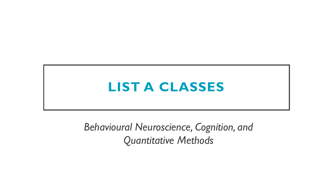## **LIST A CLASSES**

*Behavioural Neuroscience, Cognition, and Quantitative Methods*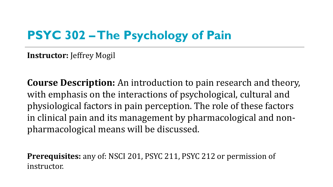## **PSYC 302 –The Psychology of Pain**

**Instructor:** Jeffrey Mogil

**Course Description:** An introduction to pain research and theory, with emphasis on the interactions of psychological, cultural and physiological factors in pain perception. The role of these factors in clinical pain and its management by pharmacological and nonpharmacological means will be discussed.

**Prerequisites:** any of: NSCI 201, PSYC 211, PSYC 212 or permission of instructor.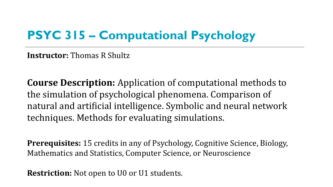## **PSYC 315 – Computational Psychology**

**Instructor:** Thomas R Shultz

**Course Description:** Application of computational methods to the simulation of psychological phenomena. Comparison of natural and artificial intelligence. Symbolic and neural network techniques. Methods for evaluating simulations.

**Prerequisites:** 15 credits in any of Psychology, Cognitive Science, Biology, Mathematics and Statistics, Computer Science, or Neuroscience

**Restriction:** Not open to U0 or U1 students.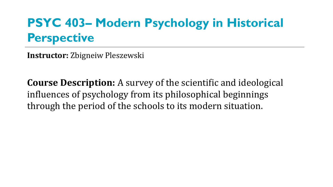## **PSYC 403– Modern Psychology in Historical Perspective**

**Instructor:** Zbigneiw Pleszewski

**Course Description:** A survey of the scientific and ideological influences of psychology from its philosophical beginnings through the period of the schools to its modern situation.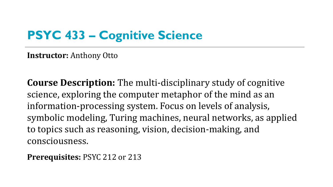## **PSYC 433 – Cognitive Science**

**Instructor:** Anthony Otto

**Course Description:** The multi-disciplinary study of cognitive science, exploring the computer metaphor of the mind as an information-processing system. Focus on levels of analysis, symbolic modeling, Turing machines, neural networks, as applied to topics such as reasoning, vision, decision-making, and consciousness.

**Prerequisites:** PSYC 212 or 213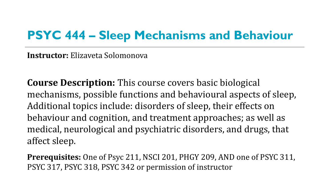#### **PSYC 444 – Sleep Mechanisms and Behaviour**

**Instructor:** Elizaveta Solomonova

**Course Description:** This course covers basic biological mechanisms, possible functions and behavioural aspects of sleep, Additional topics include: disorders of sleep, their effects on behaviour and cognition, and treatment approaches; as well as medical, neurological and psychiatric disorders, and drugs, that affect sleep.

**Prerequisites:** One of Psyc 211, NSCI 201, PHGY 209, AND one of PSYC 311, PSYC 317, PSYC 318, PSYC 342 or permission of instructor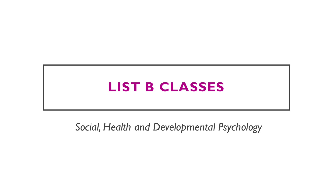## **LIST B CLASSES**

*Social, Health and Developmental Psychology*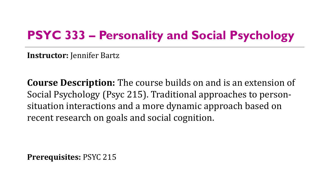### **PSYC 333 – Personality and Social Psychology**

**Instructor:** Jennifer Bartz

**Course Description:** The course builds on and is an extension of Social Psychology (Psyc 215). Traditional approaches to personsituation interactions and a more dynamic approach based on recent research on goals and social cognition.

**Prerequisites:** PSYC 215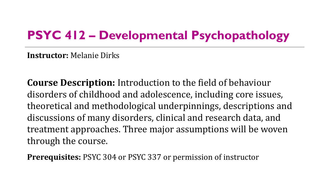## **PSYC 412 – Developmental Psychopathology**

**Instructor:** Melanie Dirks

**Course Description:** Introduction to the field of behaviour disorders of childhood and adolescence, including core issues, theoretical and methodological underpinnings, descriptions and discussions of many disorders, clinical and research data, and treatment approaches. Three major assumptions will be woven through the course.

**Prerequisites:** PSYC 304 or PSYC 337 or permission of instructor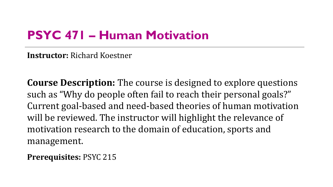## **PSYC 471 – Human Motivation**

**Instructor:** Richard Koestner

**Course Description:** The course is designed to explore questions such as "Why do people often fail to reach their personal goals?" Current goal-based and need-based theories of human motivation will be reviewed. The instructor will highlight the relevance of motivation research to the domain of education, sports and management.

**Prerequisites:** PSYC 215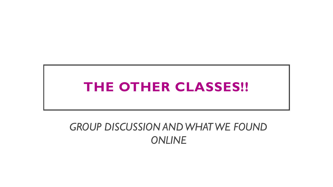## **THE OTHER CLASSES!!**

#### *GROUP DISCUSSION AND WHAT WE FOUND ONLINE*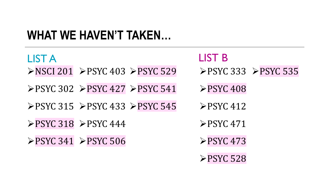## **WHAT WE HAVEN'T TAKEN…**

| <b>LIST A</b> |                                                                               | <b>LIST B</b>                                       |  |
|---------------|-------------------------------------------------------------------------------|-----------------------------------------------------|--|
|               | $\triangleright$ NSCI 201 $\triangleright$ PSYC 403 $\triangleright$ PSYC 529 | $\triangleright$ PSYC 333 $\triangleright$ PSYC 535 |  |
|               | $\triangleright$ PSYC 302 $\triangleright$ PSYC 427 $\triangleright$ PSYC 541 | $\triangleright$ PSYC 408                           |  |
|               | $\triangleright$ PSYC 315 $\triangleright$ PSYC 433 $\triangleright$ PSYC 545 | $\triangleright$ PSYC 412                           |  |
|               | $\triangleright$ PSYC 318 $\triangleright$ PSYC 444                           | $\triangleright$ PSYC 471                           |  |
|               | $\triangleright$ PSYC 341 $\triangleright$ PSYC 506                           | $\triangleright$ PSYC 473                           |  |
|               |                                                                               | $\triangleright$ PSYC 528                           |  |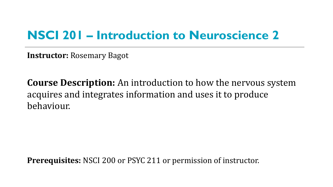### **NSCI 201 – Introduction to Neuroscience 2**

**Instructor:** Rosemary Bagot

**Course Description:** An introduction to how the nervous system acquires and integrates information and uses it to produce behaviour.

**Prerequisites:** NSCI 200 or PSYC 211 or permission of instructor.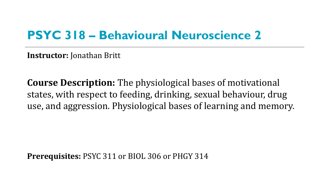#### **PSYC 318 – Behavioural Neuroscience 2**

**Instructor:** Jonathan Britt

**Course Description:** The physiological bases of motivational states, with respect to feeding, drinking, sexual behaviour, drug use, and aggression. Physiological bases of learning and memory.

**Prerequisites:** PSYC 311 or BIOL 306 or PHGY 314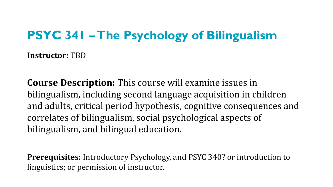## **PSYC 341 –The Psychology of Bilingualism**

**Instructor:** TBD

**Course Description:** This course will examine issues in bilingualism, including second language acquisition in children and adults, critical period hypothesis, cognitive consequences and correlates of bilingualism, social psychological aspects of bilingualism, and bilingual education.

**Prerequisites:** Introductory Psychology, and PSYC 340? or introduction to linguistics; or permission of instructor.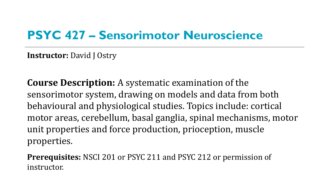#### **PSYC 427 – Sensorimotor Neuroscience**

**Instructor:** David J Ostry

**Course Description:** A systematic examination of the sensorimotor system, drawing on models and data from both behavioural and physiological studies. Topics include: cortical motor areas, cerebellum, basal ganglia, spinal mechanisms, motor unit properties and force production, prioception, muscle properties.

**Prerequisites:** NSCI 201 or PSYC 211 and PSYC 212 or permission of instructor.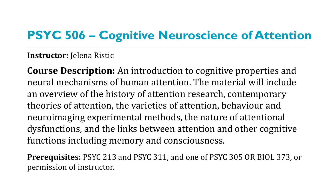## **PSYC 506 – Cognitive Neuroscience of Attention**

#### **Instructor:** Jelena Ristic

**Course Description:** An introduction to cognitive properties and neural mechanisms of human attention. The material will include an overview of the history of attention research, contemporary theories of attention, the varieties of attention, behaviour and neuroimaging experimental methods, the nature of attentional dysfunctions, and the links between attention and other cognitive functions including memory and consciousness.

**Prerequisites:** PSYC 213 and PSYC 311, and one of PSYC 305 OR BIOL 373, or permission of instructor.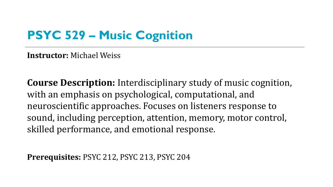## **PSYC 529 – Music Cognition**

**Instructor:** Michael Weiss

**Course Description:** Interdisciplinary study of music cognition, with an emphasis on psychological, computational, and neuroscientific approaches. Focuses on listeners response to sound, including perception, attention, memory, motor control, skilled performance, and emotional response.

**Prerequisites:** PSYC 212, PSYC 213, PSYC 204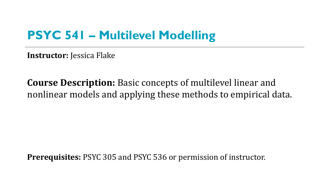## **PSYC 541 – Multilevel Modelling**

**Instructor:** Jessica Flake

**Course Description:** Basic concepts of multilevel linear and nonlinear models and applying these methods to empirical data.

**Prerequisites:** PSYC 305 and PSYC 536 or permission of instructor.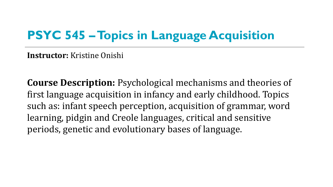## **PSYC 545 –Topics in Language Acquisition**

**Instructor:** Kristine Onishi

**Course Description:** Psychological mechanisms and theories of first language acquisition in infancy and early childhood. Topics such as: infant speech perception, acquisition of grammar, word learning, pidgin and Creole languages, critical and sensitive periods, genetic and evolutionary bases of language.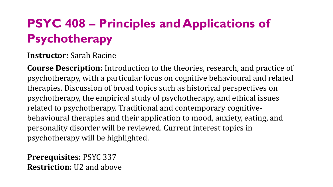## **PSYC 408 – Principles and Applications of Psychotherapy**

#### **Instructor:** Sarah Racine

**Course Description:** Introduction to the theories, research, and practice of psychotherapy, with a particular focus on cognitive behavioural and related therapies. Discussion of broad topics such as historical perspectives on psychotherapy, the empirical study of psychotherapy, and ethical issues related to psychotherapy. Traditional and contemporary cognitivebehavioural therapies and their application to mood, anxiety, eating, and personality disorder will be reviewed. Current interest topics in psychotherapy will be highlighted.

**Prerequisites:** PSYC 337 **Restriction:** U2 and above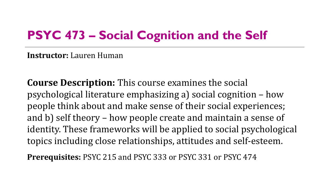## **PSYC 473 – Social Cognition and the Self**

**Instructor:** Lauren Human

**Course Description:** This course examines the social psychological literature emphasizing a) social cognition – how people think about and make sense of their social experiences; and b) self theory – how people create and maintain a sense of identity. These frameworks will be applied to social psychological topics including close relationships, attitudes and self-esteem.

**Prerequisites:** PSYC 215 and PSYC 333 or PSYC 331 or PSYC 474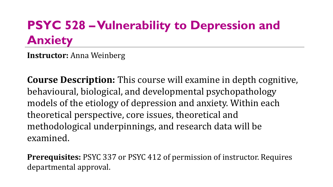## **PSYC 528 –Vulnerability to Depression and Anxiety**

**Instructor:** Anna Weinberg

**Course Description:** This course will examine in depth cognitive, behavioural, biological, and developmental psychopathology models of the etiology of depression and anxiety. Within each theoretical perspective, core issues, theoretical and methodological underpinnings, and research data will be examined.

**Prerequisites:** PSYC 337 or PSYC 412 of permission of instructor. Requires departmental approval.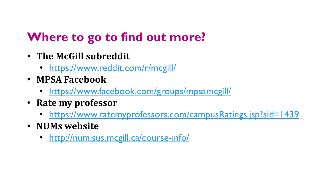## **Where to go to find out more?**

- **The McGill subreddit**
	- <https://www.reddit.com/r/mcgill/>
- **MPSA Facebook**
	- <https://www.facebook.com/groups/mpsamcgill/>
- **Rate my professor**
	- <https://www.ratemyprofessors.com/campusRatings.jsp?sid=1439>
- **NUMs website**
	- <http://num.sus.mcgill.ca/course-info/>